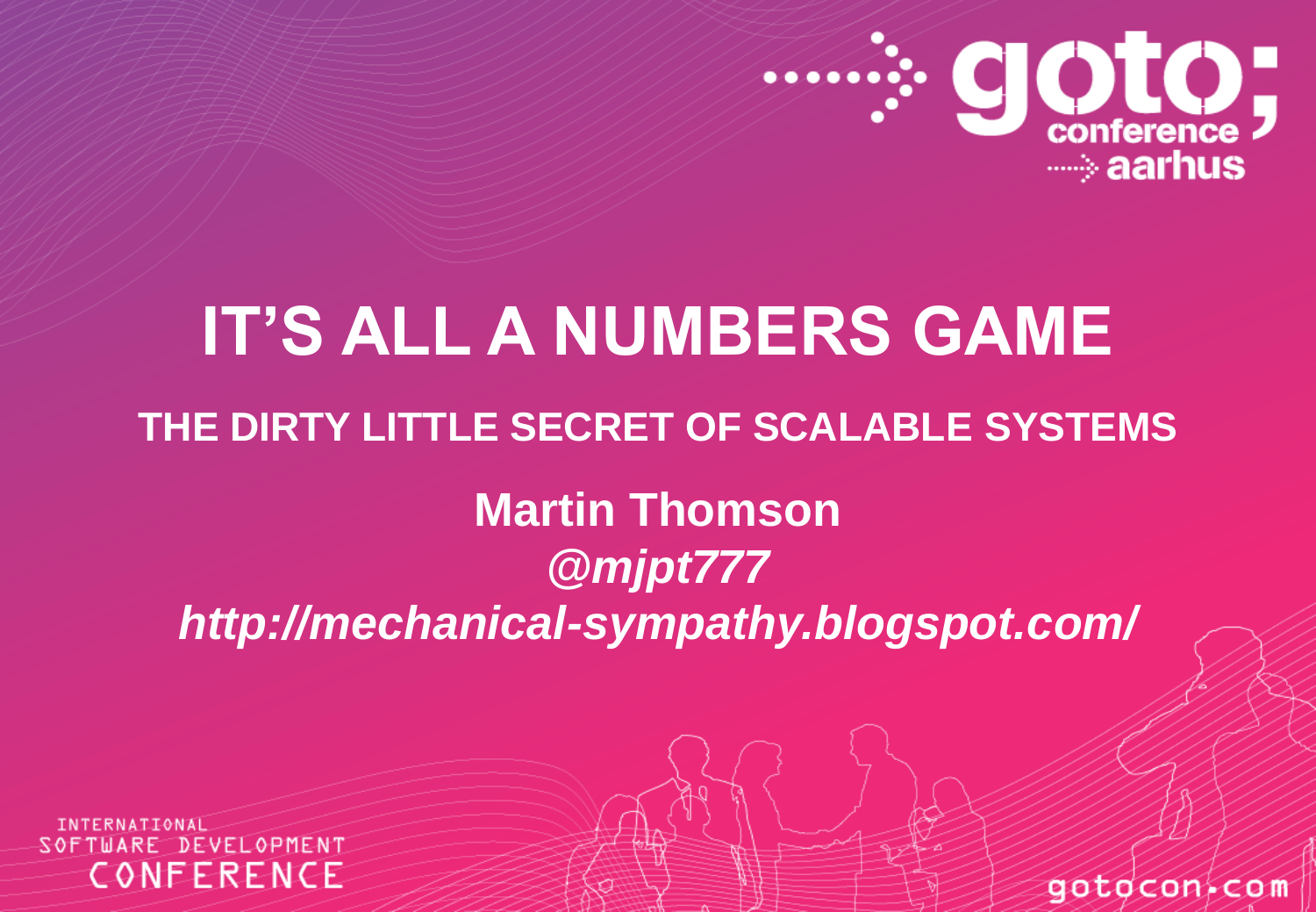

# **IT'S ALL A NUMBERS GAME THE DIRTY LITTLE SECRET OF SCALABLE SYSTEMS Martin Thomson** *@mjpt777 http://mechanical-sympathy.blogspot.com/*

**DEVELOPMENT** S O F CONFERENCE

gotocon com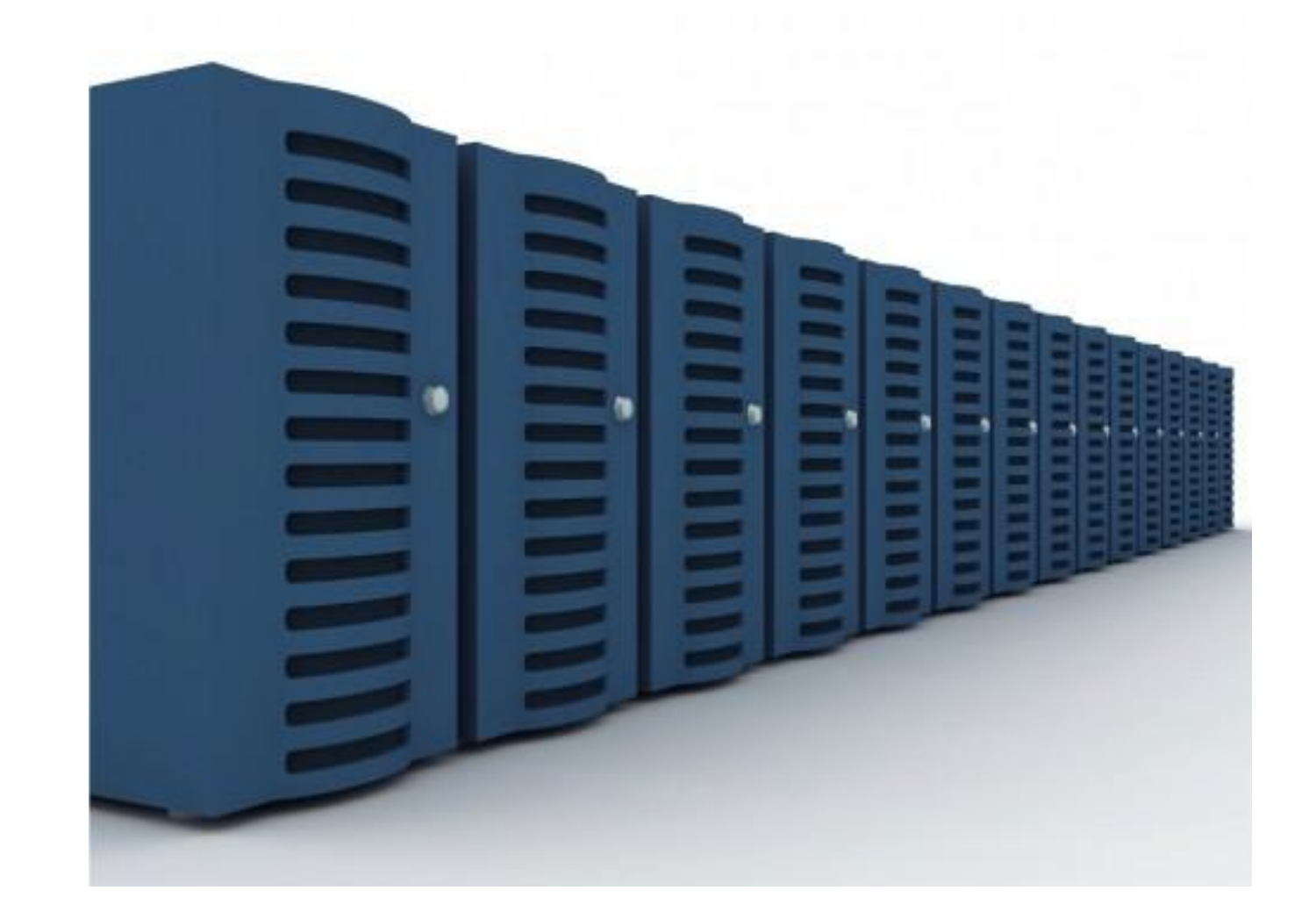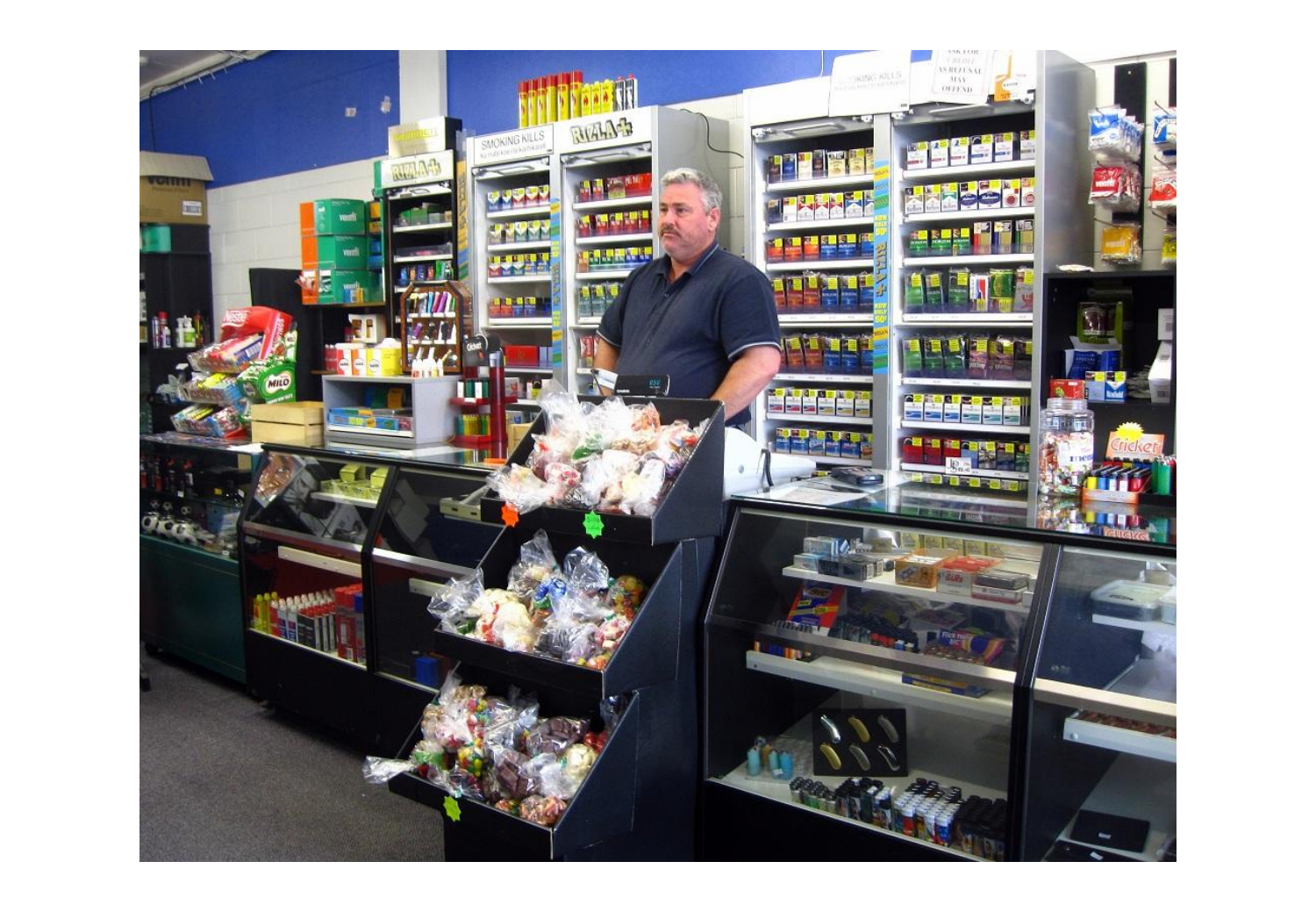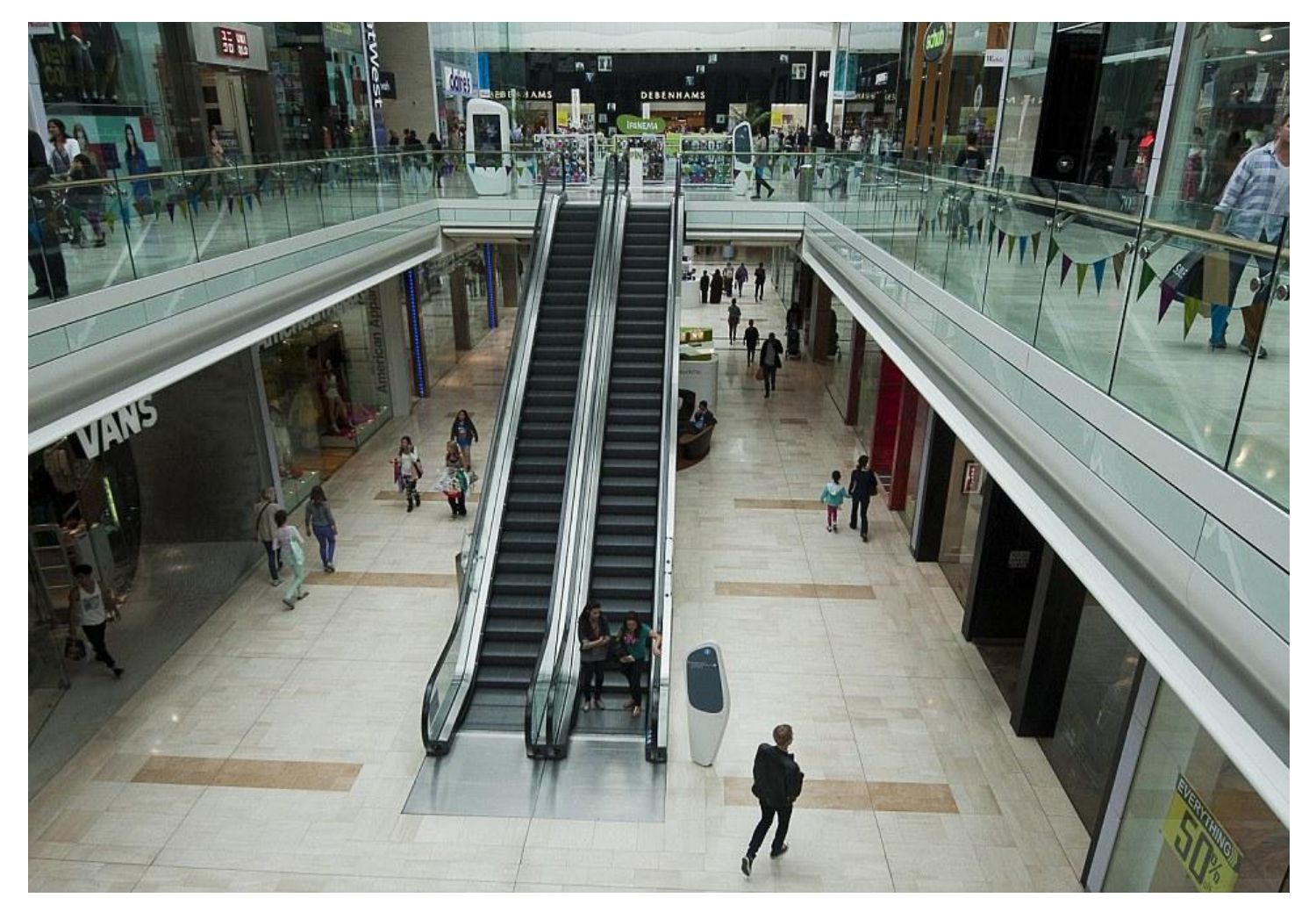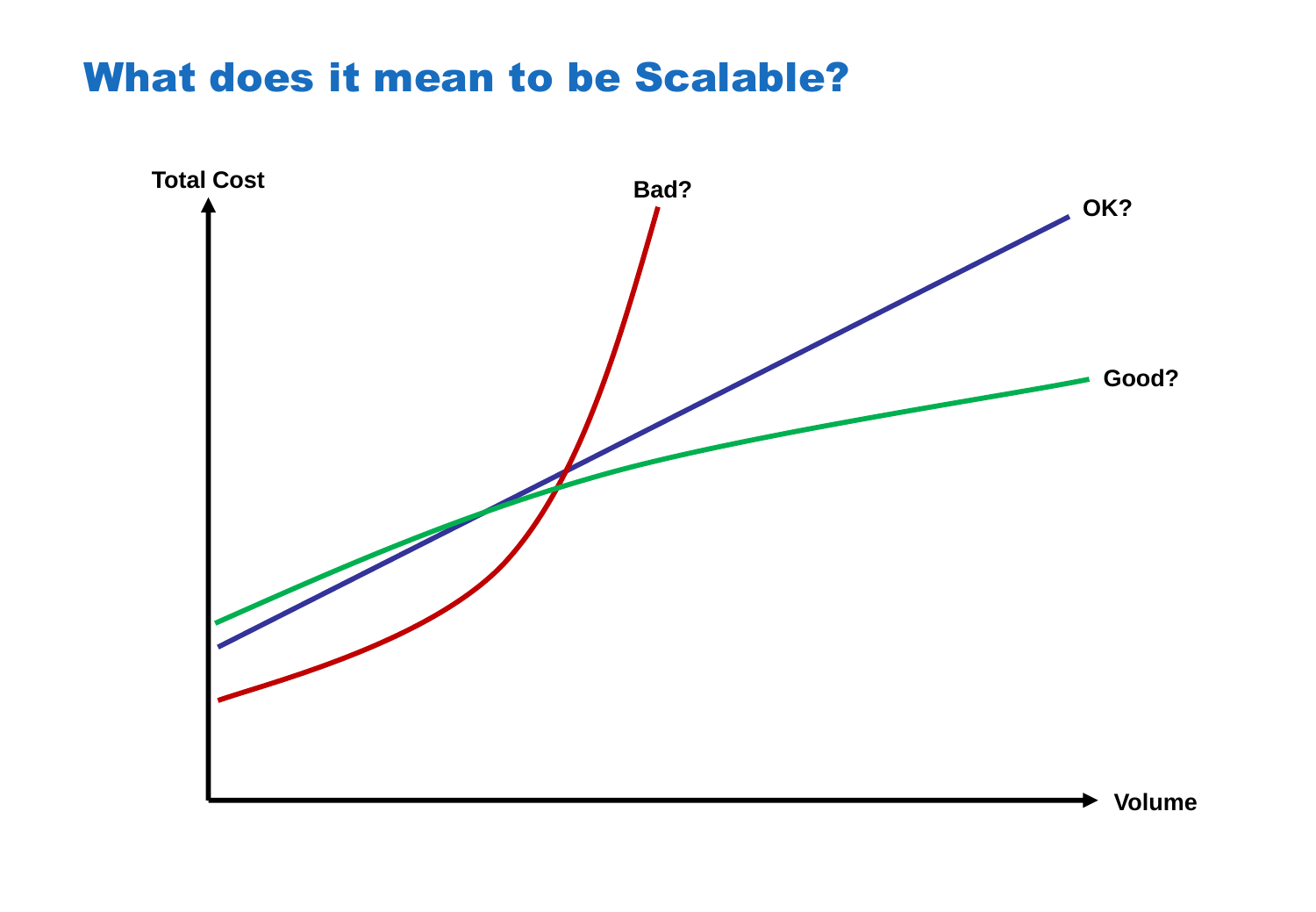#### What does it mean to be Scalable?

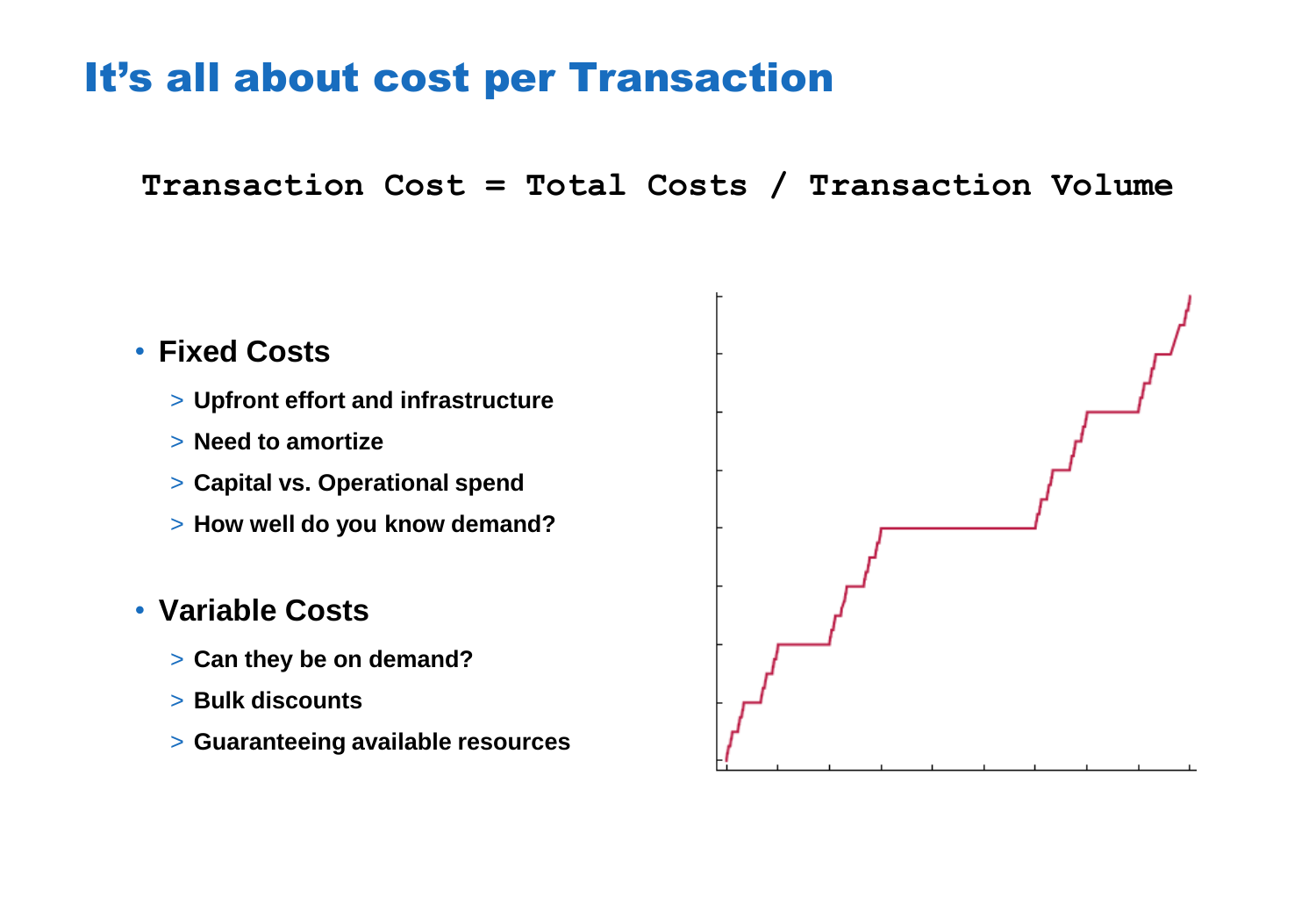#### It's all about cost per Transaction

**Transaction Cost = Total Costs / Transaction Volume**

- **Fixed Costs**
	- > **Upfront effort and infrastructure**
	- > **Need to amortize**
	- > **Capital vs. Operational spend**
	- > **How well do you know demand?**
- **Variable Costs**
	- > **Can they be on demand?**
	- > **Bulk discounts**
	- > **Guaranteeing available resources**

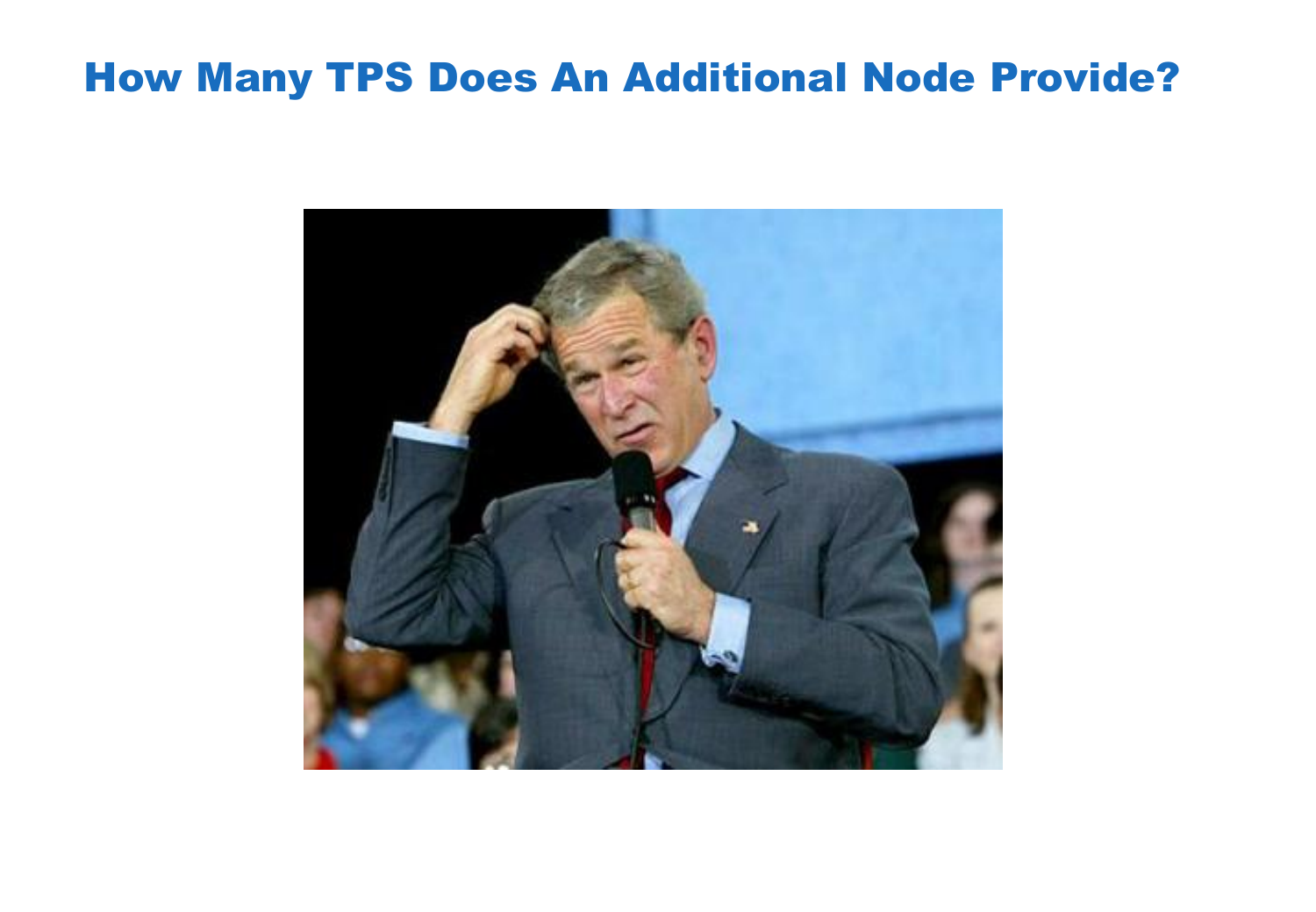#### How Many TPS Does An Additional Node Provide?

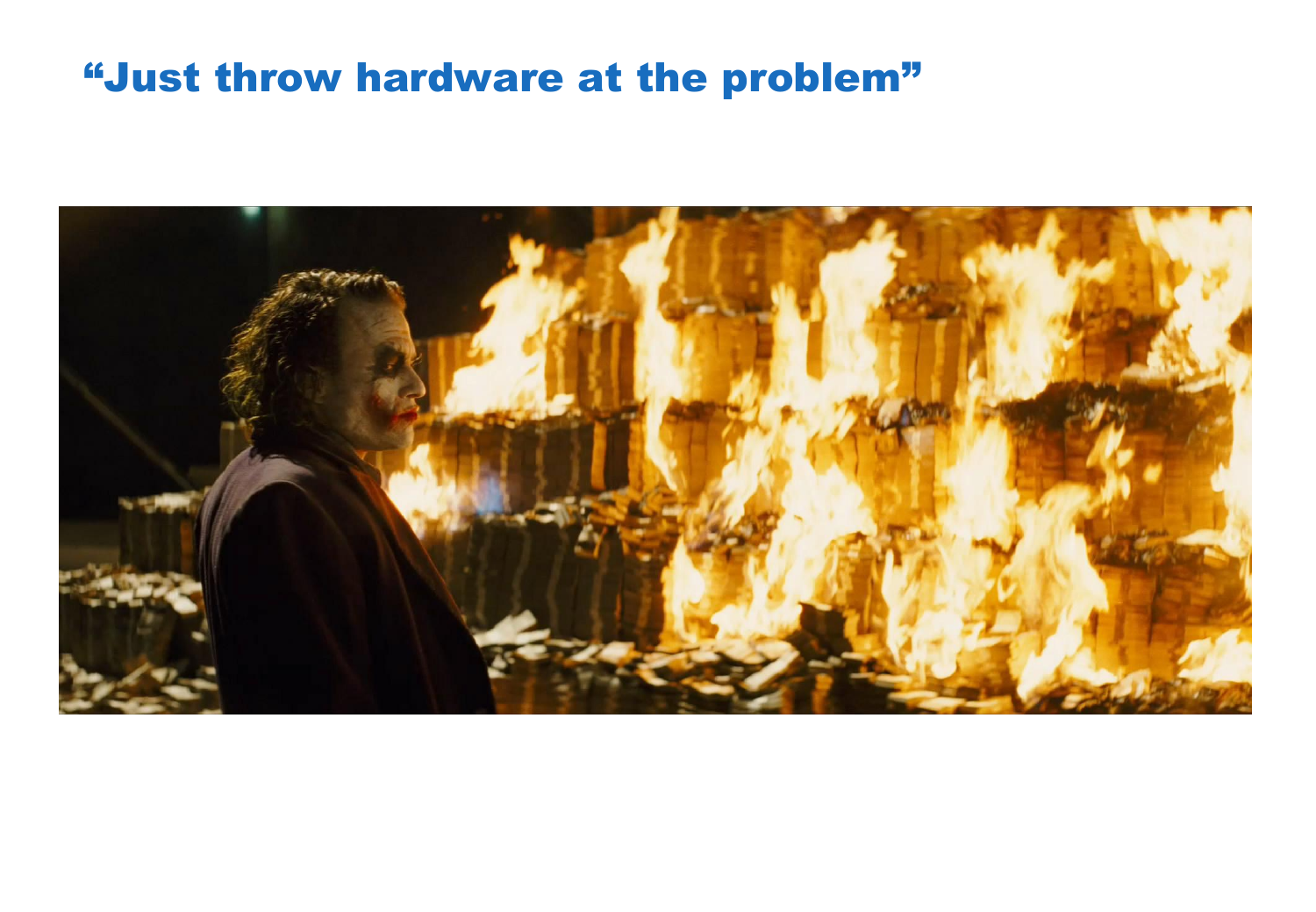#### "Just throw hardware at the problem"

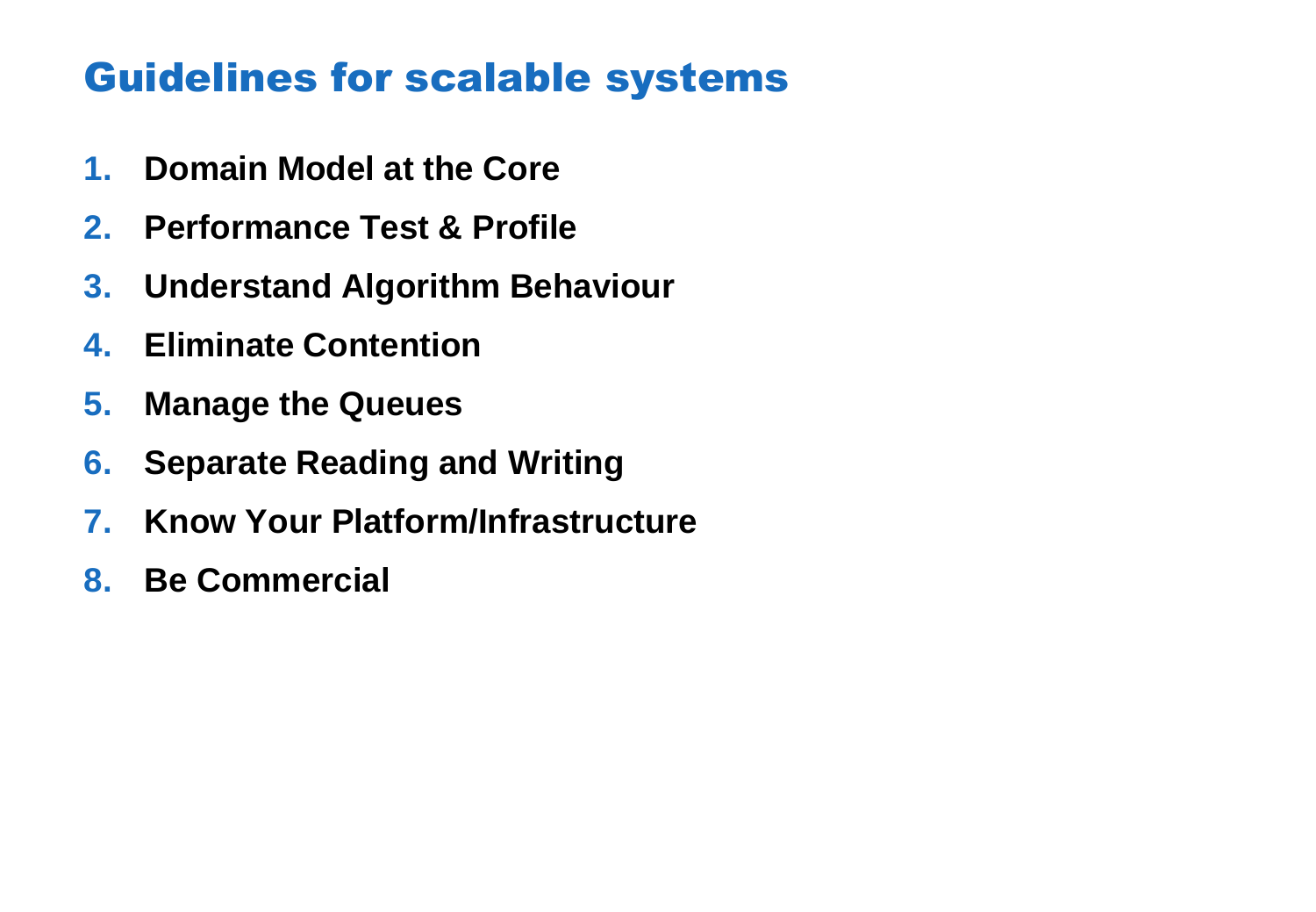#### Guidelines for scalable systems

- **1. Domain Model at the Core**
- **2. Performance Test & Profile**
- **3. Understand Algorithm Behaviour**
- **4. Eliminate Contention**
- **5. Manage the Queues**
- **6. Separate Reading and Writing**
- **7. Know Your Platform/Infrastructure**
- **8. Be Commercial**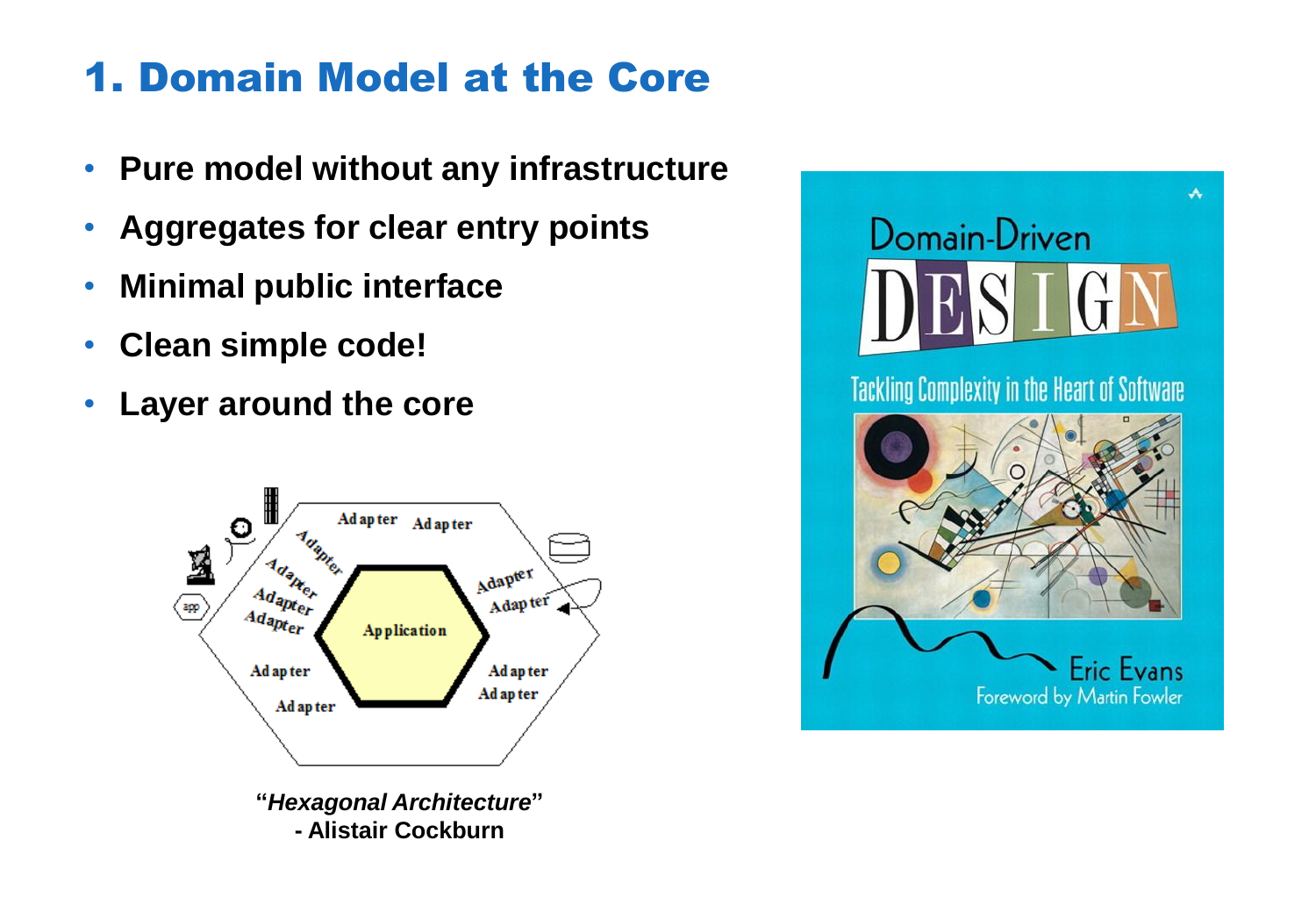## 1. Domain Model at the Core

- **Pure model without any infrastructure**
- **Aggregates for clear entry points**
- **Minimal public interface**
- **Clean simple code!**
- **Layer around the core**



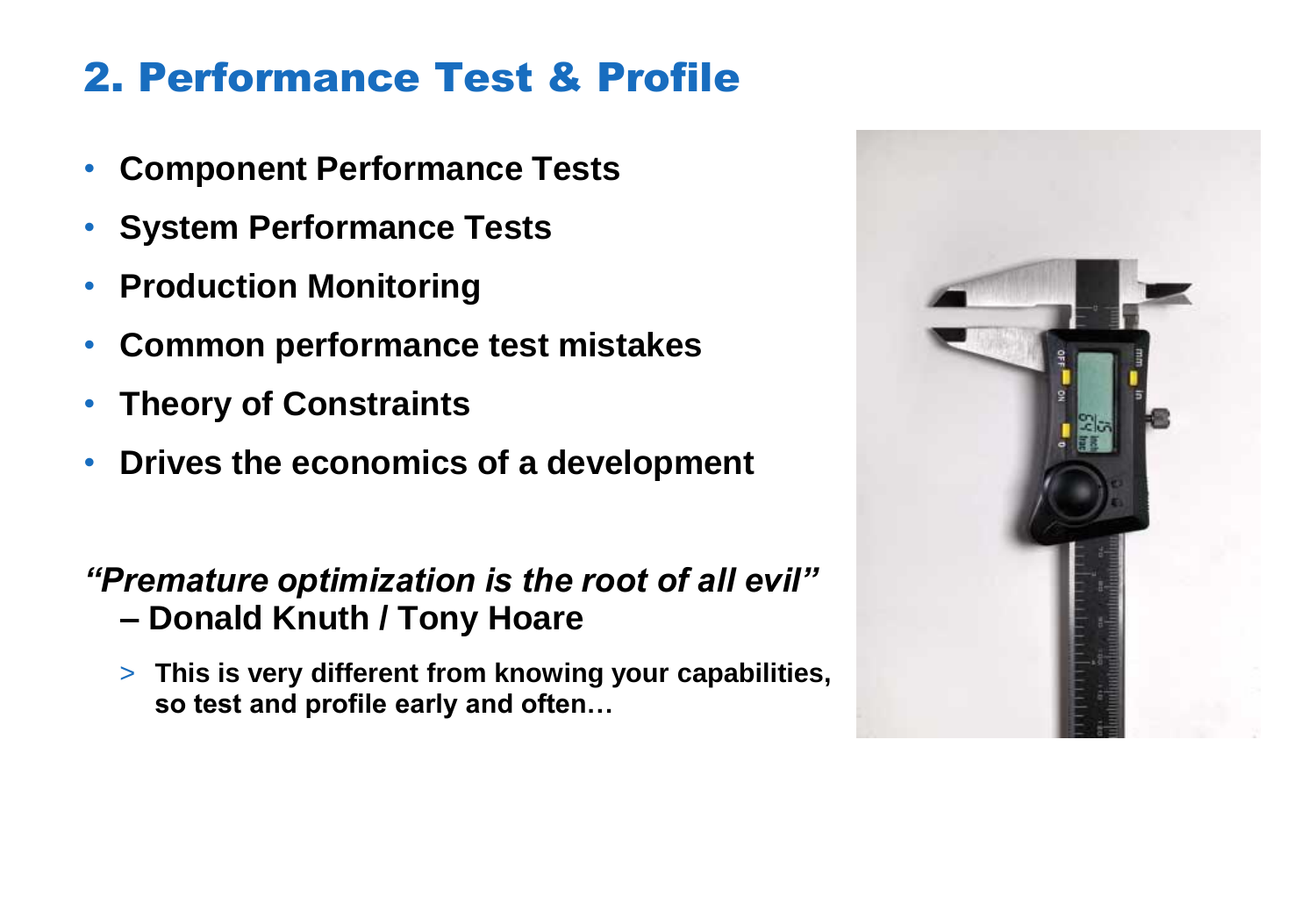# 2. Performance Test & Profile

- **Component Performance Tests**
- **System Performance Tests**
- **Production Monitoring**
- **Common performance test mistakes**
- **Theory of Constraints**
- **Drives the economics of a development**

#### *"Premature optimization is the root of all evil"*  **– Donald Knuth / Tony Hoare**

> **This is very different from knowing your capabilities, so test and profile early and often…**

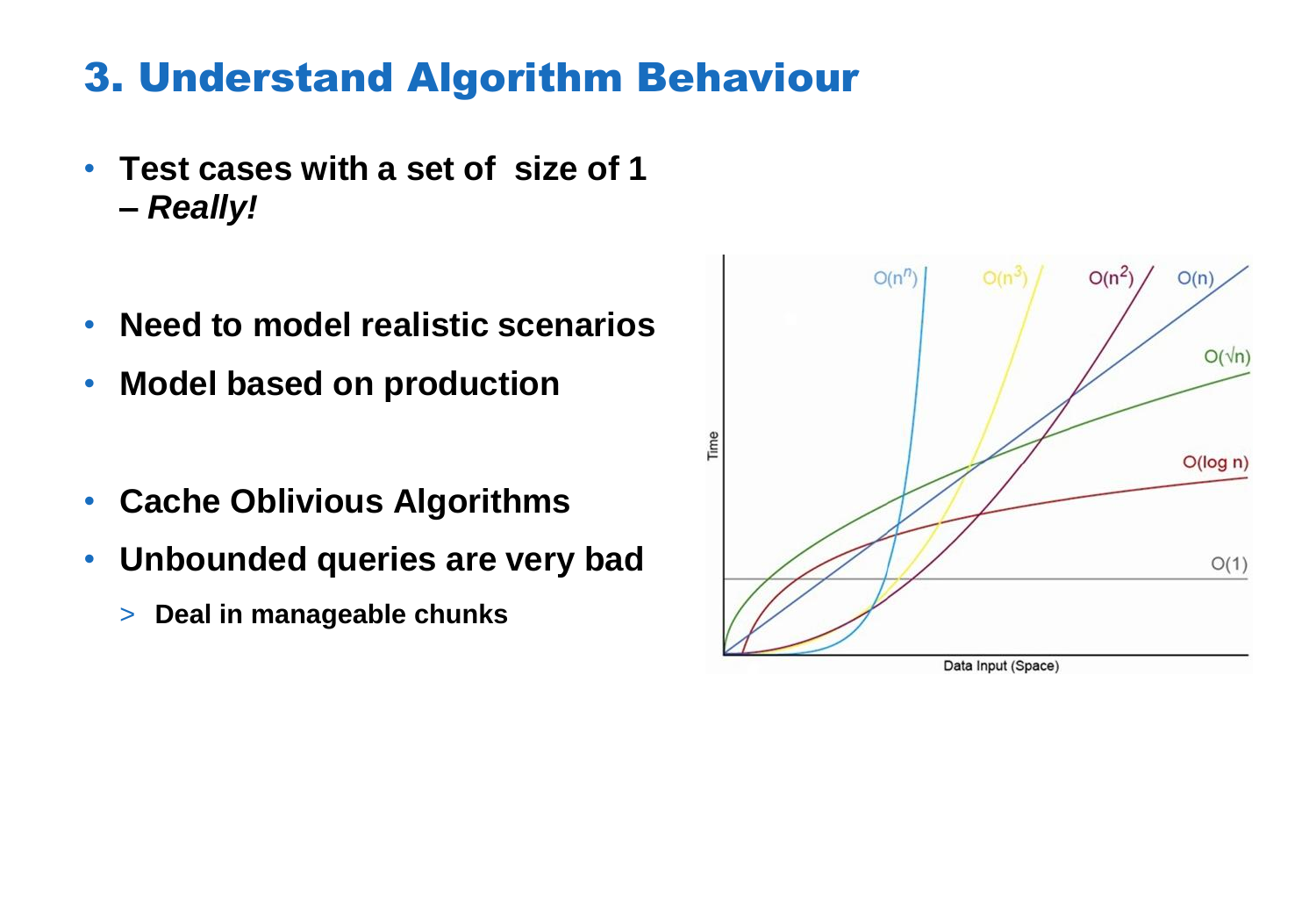#### 3. Understand Algorithm Behaviour

- **Test cases with a set of size of 1 –** *Really!*
- **Need to model realistic scenarios**
- **Model based on production**
- **Cache Oblivious Algorithms**
- **Unbounded queries are very bad**
	- > **Deal in manageable chunks**

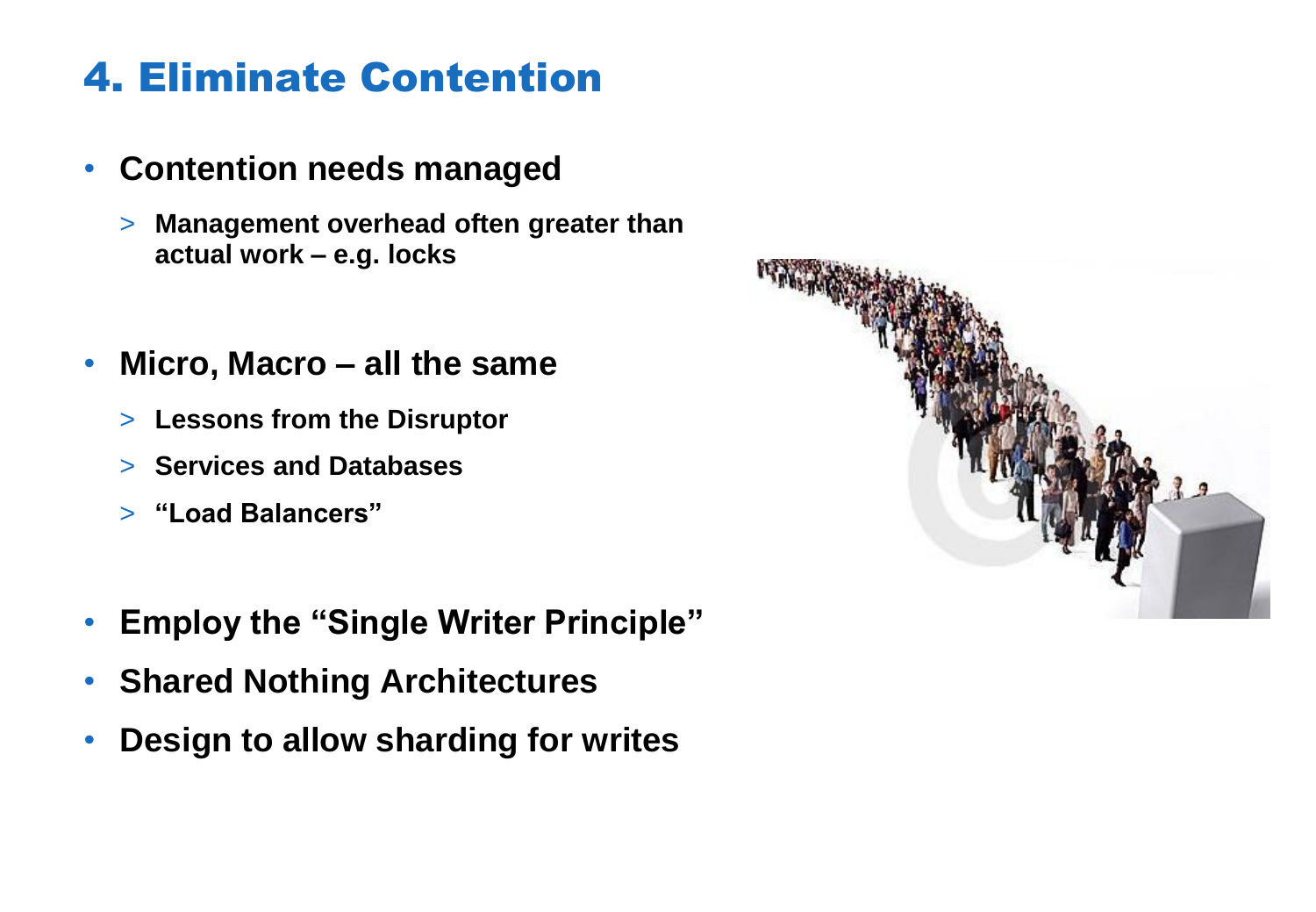## 4. Eliminate Contention

- **Contention needs managed**
	- > **Management overhead often greater than actual work – e.g. locks**
- **Micro, Macro – all the same**
	- > **Lessons from the Disruptor**
	- > **Services and Databases**
	- > **"Load Balancers"**
- **Employ the "Single Writer Principle"**
- **Shared Nothing Architectures**
- **Design to allow sharding for writes**

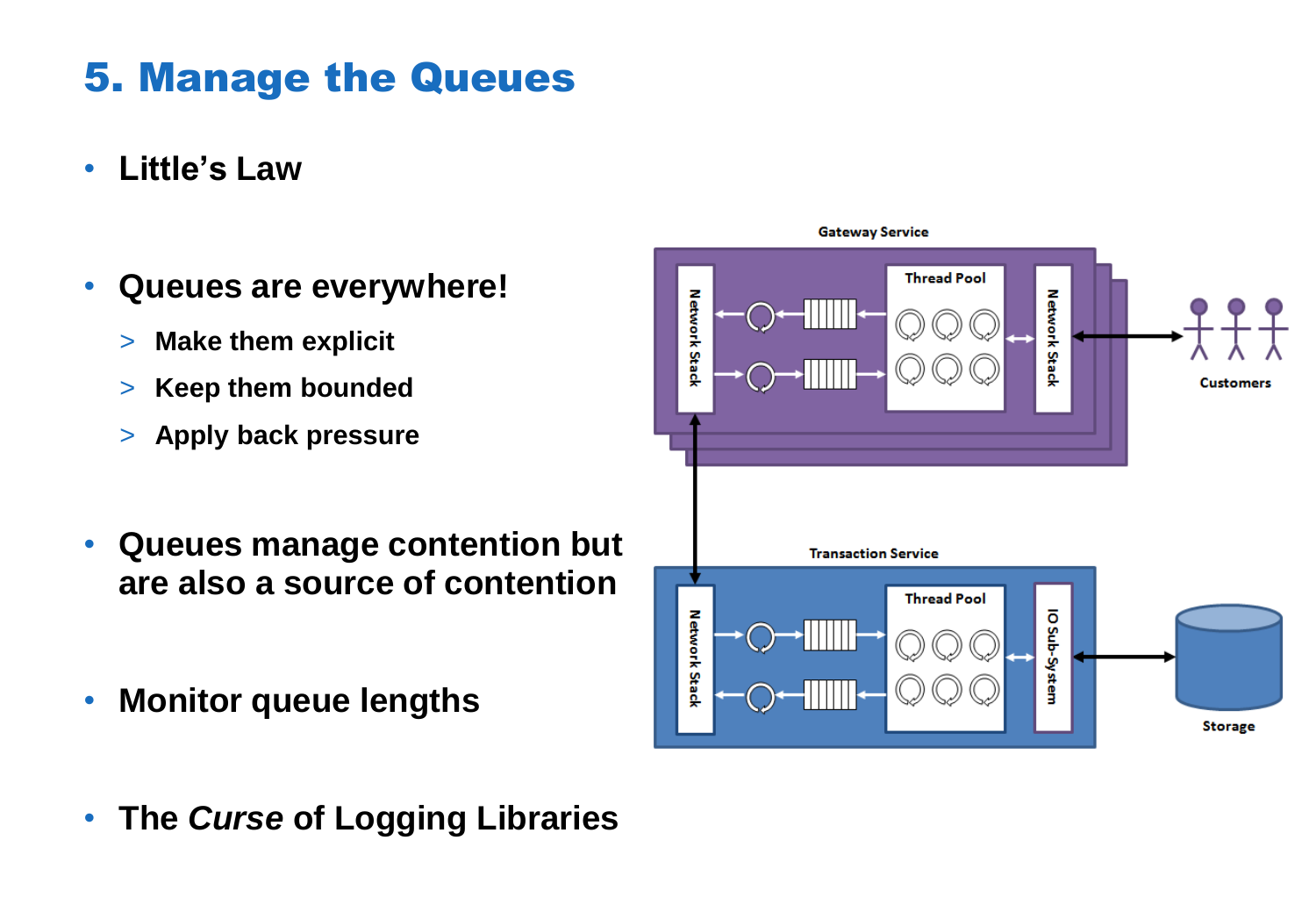# 5. Manage the Queues

- **Little's Law**
- **Queues are everywhere!**
	- > **Make them explicit**
	- > **Keep them bounded**
	- > **Apply back pressure**
- **Queues manage contention but are also a source of contention**
- **Monitor queue lengths**



• **The** *Curse* **of Logging Libraries**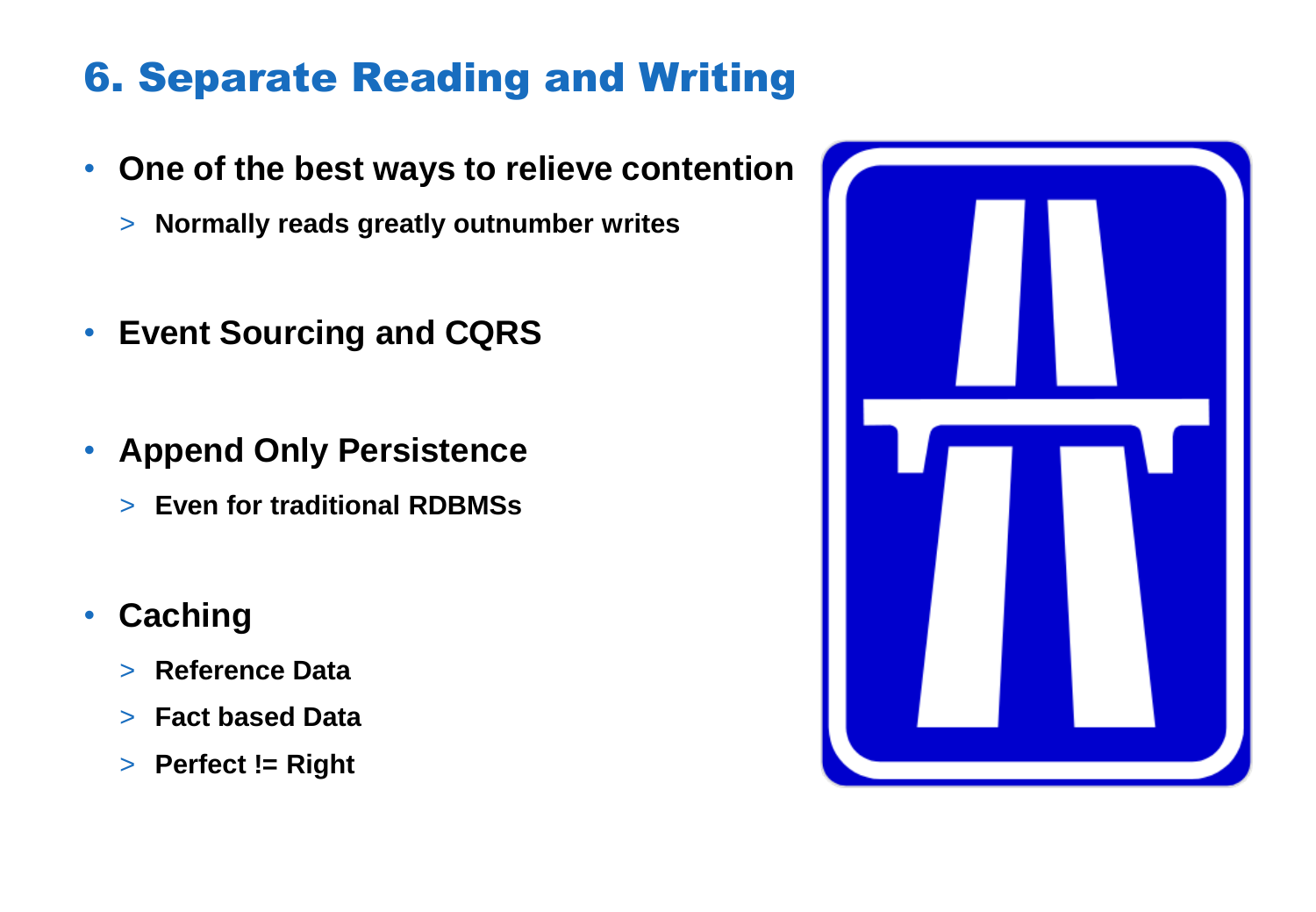# 6. Separate Reading and Writing

- **One of the best ways to relieve contention**
	- > **Normally reads greatly outnumber writes**
- **Event Sourcing and CQRS**
- **Append Only Persistence**
	- > **Even for traditional RDBMSs**
- **Caching**
	- > **Reference Data**
	- > **Fact based Data**
	- > **Perfect != Right**

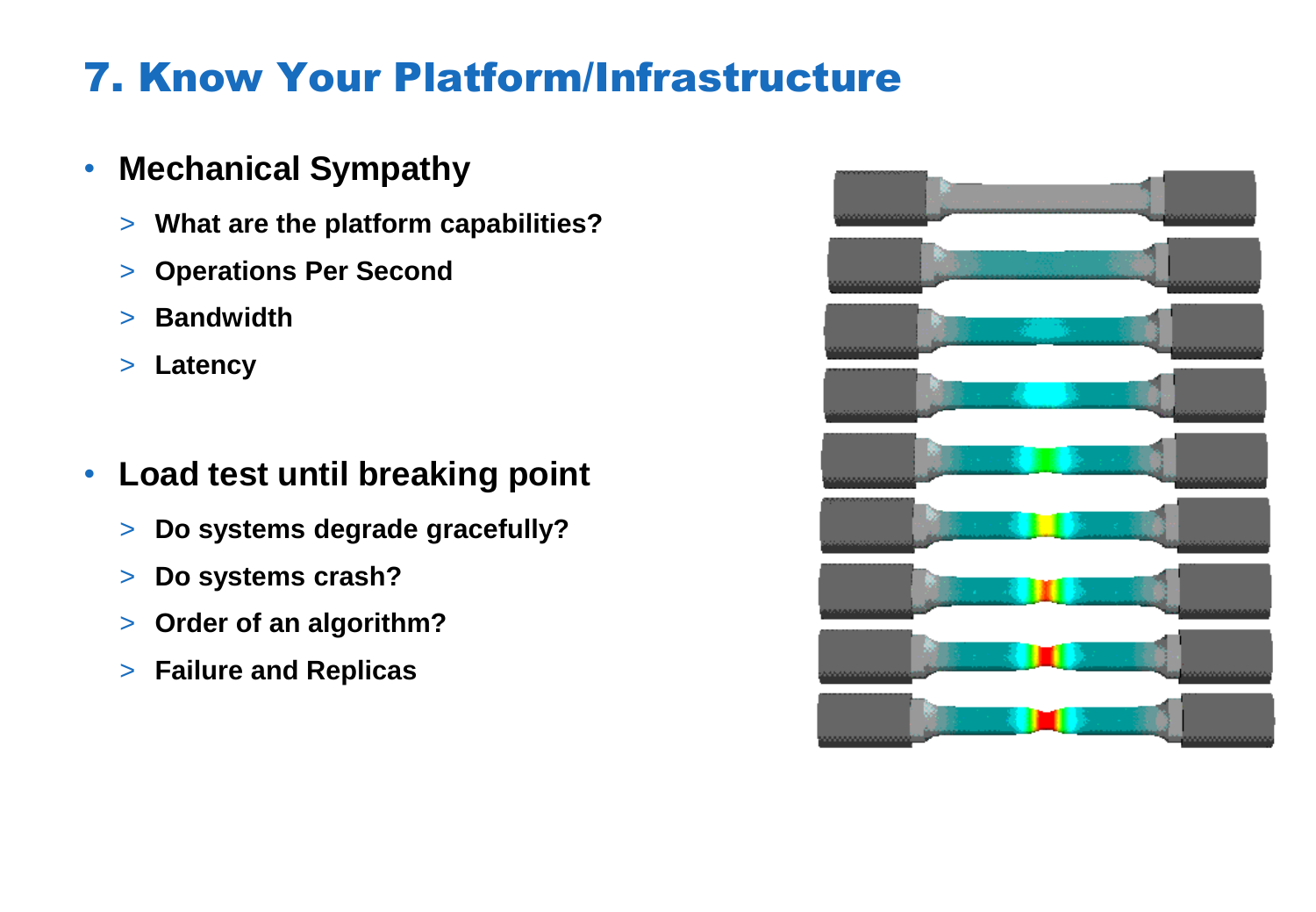## 7. Know Your Platform/Infrastructure

#### • **Mechanical Sympathy**

- > **What are the platform capabilities?**
- > **Operations Per Second**
- > **Bandwidth**
- > **Latency**
- **Load test until breaking point**
	- > **Do systems degrade gracefully?**
	- > **Do systems crash?**
	- > **Order of an algorithm?**
	- > **Failure and Replicas**

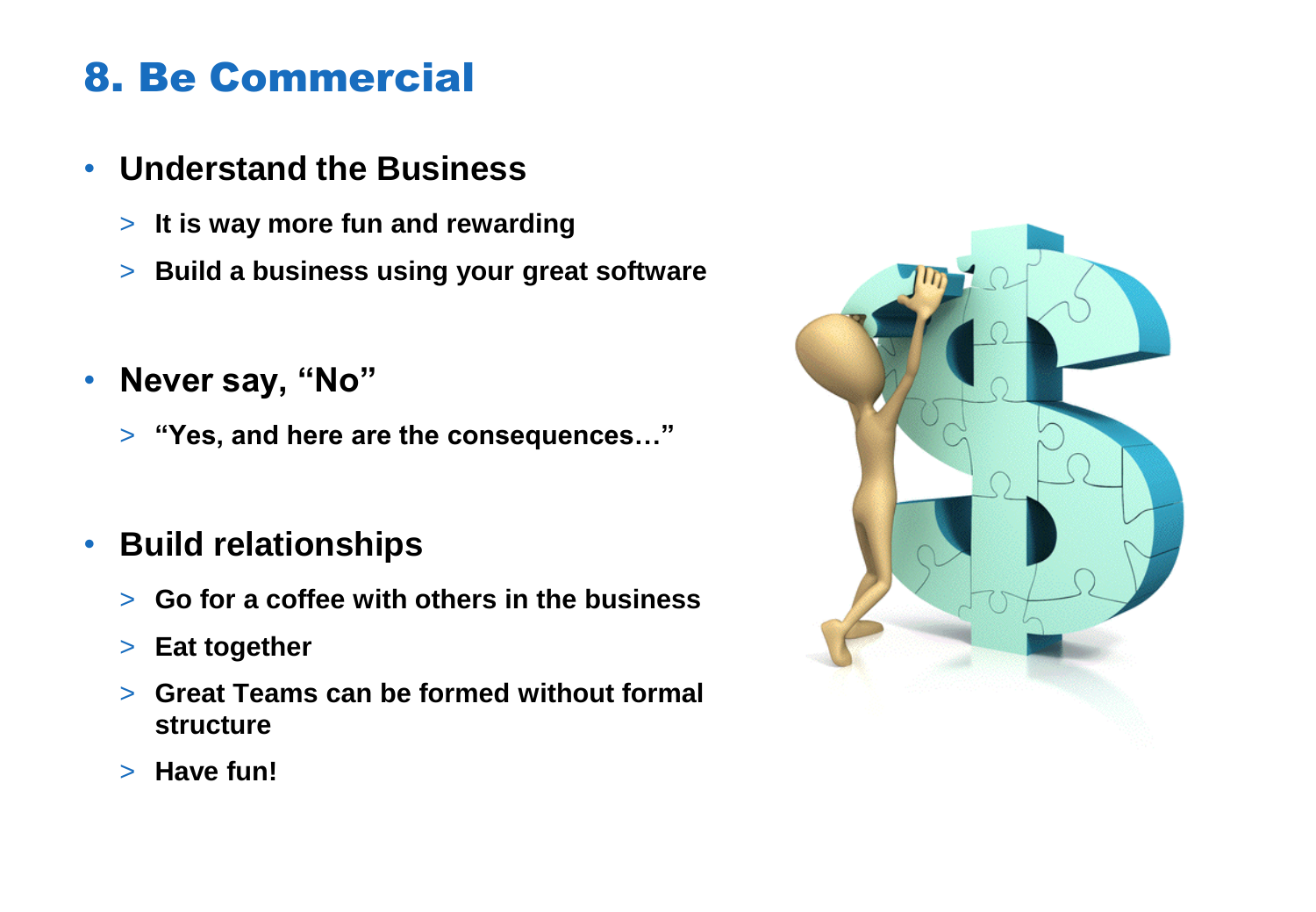# 8. Be Commercial

- **Understand the Business**
	- > **It is way more fun and rewarding**
	- > **Build a business using your great software**
- **Never say, "No"**
	- > **"Yes, and here are the consequences…"**

#### • **Build relationships**

- > **Go for a coffee with others in the business**
- > **Eat together**
- > **Great Teams can be formed without formal structure**



> **Have fun!**